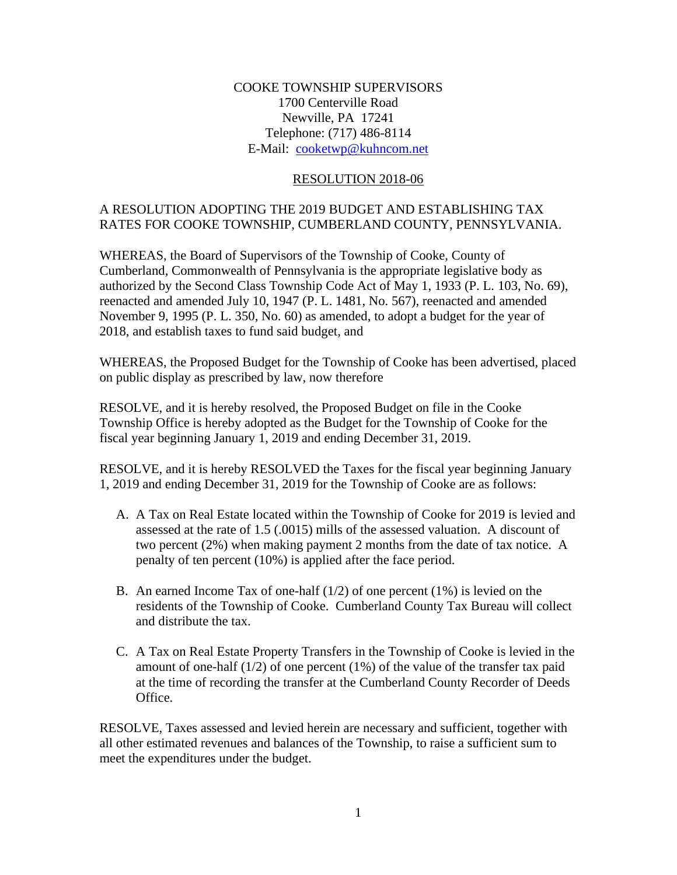### COOKE TOWNSHIP SUPERVISORS 1700 Centerville Road Newville, PA 17241 Telephone: (717) 486-8114 E-Mail: [cooketwp@kuhncom.net](../2017%20Resolutions/cooketwp@kuhncom.net)

#### RESOLUTION 2018-06

## A RESOLUTION ADOPTING THE 2019 BUDGET AND ESTABLISHING TAX RATES FOR COOKE TOWNSHIP, CUMBERLAND COUNTY, PENNSYLVANIA.

WHEREAS, the Board of Supervisors of the Township of Cooke, County of Cumberland, Commonwealth of Pennsylvania is the appropriate legislative body as authorized by the Second Class Township Code Act of May 1, 1933 (P. L. 103, No. 69), reenacted and amended July 10, 1947 (P. L. 1481, No. 567), reenacted and amended November 9, 1995 (P. L. 350, No. 60) as amended, to adopt a budget for the year of 2018, and establish taxes to fund said budget, and

WHEREAS, the Proposed Budget for the Township of Cooke has been advertised, placed on public display as prescribed by law, now therefore

RESOLVE, and it is hereby resolved, the Proposed Budget on file in the Cooke Township Office is hereby adopted as the Budget for the Township of Cooke for the fiscal year beginning January 1, 2019 and ending December 31, 2019.

RESOLVE, and it is hereby RESOLVED the Taxes for the fiscal year beginning January 1, 2019 and ending December 31, 2019 for the Township of Cooke are as follows:

- A. A Tax on Real Estate located within the Township of Cooke for 2019 is levied and assessed at the rate of 1.5 (.0015) mills of the assessed valuation. A discount of two percent (2%) when making payment 2 months from the date of tax notice. A penalty of ten percent (10%) is applied after the face period.
- B. An earned Income Tax of one-half  $(1/2)$  of one percent  $(1\%)$  is levied on the residents of the Township of Cooke. Cumberland County Tax Bureau will collect and distribute the tax.
- C. A Tax on Real Estate Property Transfers in the Township of Cooke is levied in the amount of one-half  $(1/2)$  of one percent  $(1%)$  of the value of the transfer tax paid at the time of recording the transfer at the Cumberland County Recorder of Deeds Office.

RESOLVE, Taxes assessed and levied herein are necessary and sufficient, together with all other estimated revenues and balances of the Township, to raise a sufficient sum to meet the expenditures under the budget.